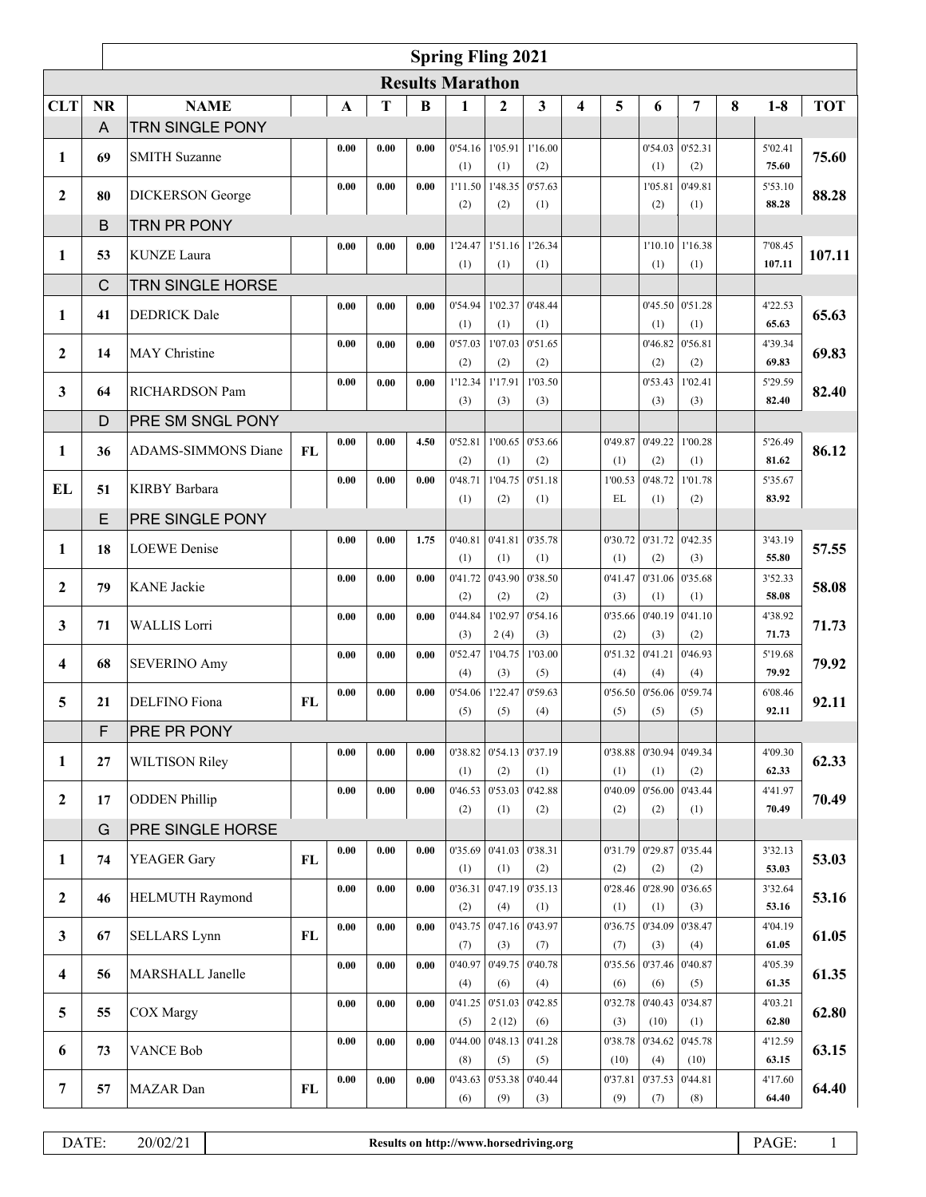|              | <b>Spring Fling 2021</b> |                            |           |      |                     |          |                         |                 |                |   |                |                           |                |   |                   |            |
|--------------|--------------------------|----------------------------|-----------|------|---------------------|----------|-------------------------|-----------------|----------------|---|----------------|---------------------------|----------------|---|-------------------|------------|
|              |                          |                            |           |      |                     |          | <b>Results Marathon</b> |                 |                |   |                |                           |                |   |                   |            |
| <b>CLT</b>   | <b>NR</b>                | <b>NAME</b>                |           | A    | Т                   | $\bf{B}$ | 1                       | $\mathbf{2}$    | 3              | 4 | 5              | 6                         | 7              | 8 | $1-8$             | <b>TOT</b> |
|              | A                        | <b>TRN SINGLE PONY</b>     |           |      |                     |          |                         |                 |                |   |                |                           |                |   |                   |            |
|              | 69                       | <b>SMITH Suzanne</b>       |           | 0.00 | 0.00                | 0.00     |                         | 0'54.16 1'05.91 | 1'16.00        |   |                | 0'54.03                   | 0'52.31        |   | 5'02.41           | 75.60      |
| 1            |                          |                            |           |      |                     |          | (1)                     | (1)             | (2)            |   |                | (1)                       | (2)            |   | 75.60             |            |
| $\mathbf{2}$ | 80                       | <b>DICKERSON</b> George    |           | 0.00 | 0.00                | 0.00     | 1'11.50                 | 1'48.35         | 0'57.63        |   |                | 1'05.81                   | 0'49.81        |   | 5'53.10           | 88.28      |
|              |                          |                            |           |      |                     |          | (2)                     | (2)             | (1)            |   |                | (2)                       | (1)            |   | 88.28             |            |
|              | B                        | TRN PR PONY                |           |      |                     |          |                         |                 |                |   |                |                           |                |   |                   |            |
| 1            | 53                       | <b>KUNZE</b> Laura         |           | 0.00 | 0.00                | 0.00     | 1'24.47<br>(1)          | 1'51.16<br>(1)  | 1'26.34<br>(1) |   |                | 1'10.10<br>(1)            | 1'16.38<br>(1) |   | 7'08.45<br>107.11 | 107.11     |
|              | C                        | <b>TRN SINGLE HORSE</b>    |           |      |                     |          |                         |                 |                |   |                |                           |                |   |                   |            |
|              |                          |                            |           | 0.00 | 0.00                | 0.00     | 0'54.94                 | 1'02.37         | 0'48.44        |   |                | 0'45.50                   | 0'51.28        |   | 4'22.53           |            |
| 1            | 41                       | <b>DEDRICK</b> Dale        |           |      |                     |          | (1)                     | (1)             | (1)            |   |                | (1)                       | (1)            |   | 65.63             | 65.63      |
|              |                          |                            |           | 0.00 | 0.00                | 0.00     | 0'57.03                 | 1'07.03         | 0'51.65        |   |                | 0'46.82                   | 0'56.81        |   | 4'39.34           |            |
| $\mathbf{2}$ | 14                       | MAY Christine              |           |      |                     |          | (2)                     | (2)             | (2)            |   |                | (2)                       | (2)            |   | 69.83             | 69.83      |
| 3            | 64                       | <b>RICHARDSON Pam</b>      |           | 0.00 | 0.00                | 0.00     | 1'12.34                 | 1'17.91         | 1'03.50        |   |                | 0'53.43                   | 1'02.41        |   | 5'29.59           | 82.40      |
|              |                          |                            |           |      |                     |          | (3)                     | (3)             | (3)            |   |                | (3)                       | (3)            |   | 82.40             |            |
|              | D                        | <b>PRE SM SNGL PONY</b>    |           |      |                     |          |                         |                 |                |   |                |                           |                |   |                   |            |
| 1            | 36                       | <b>ADAMS-SIMMONS Diane</b> | <b>FL</b> | 0.00 | 0.00                | 4.50     | 0'52.81                 | 1'00.65         | 0'53.66        |   | 0'49.87        | 0'49.22                   | 1'00.28        |   | 5'26.49           | 86.12      |
|              |                          |                            |           |      |                     |          | (2)                     | (1)             | (2)            |   | (1)            | (2)                       | (1)            |   | 81.62             |            |
| <b>EL</b>    | 51                       | <b>KIRBY</b> Barbara       |           | 0.00 | 0.00                | 0.00     | 0'48.71<br>(1)          | 1'04.75<br>(2)  | 0'51.18<br>(1) |   | 1'00.53<br>EL  | 0'48.72<br>(1)            | 1'01.78<br>(2) |   | 5'35.67<br>83.92  |            |
|              | E                        | <b>PRE SINGLE PONY</b>     |           |      |                     |          |                         |                 |                |   |                |                           |                |   |                   |            |
|              |                          |                            |           | 0.00 | 0.00                | 1.75     | 0'40.81                 | 0'41.81         | 0'35.78        |   |                | $0'30.72$ 0'31.72 0'42.35 |                |   | 3'43.19           |            |
| 1            | 18                       | <b>LOEWE</b> Denise        |           |      |                     |          | (1)                     | (1)             | (1)            |   | (1)            | (2)                       | (3)            |   | 55.80             | 57.55      |
|              |                          |                            |           | 0.00 | 0.00                | 0.00     | 0'41.72                 | 0'43.90         | 0'38.50        |   | 0'41.47        | 0'31.06                   | 0'35.68        |   | 3'52.33           |            |
| 2            | 79                       | <b>KANE</b> Jackie         |           |      |                     |          | (2)                     | (2)             | (2)            |   | (3)            | (1)                       | (1)            |   | 58.08             | 58.08      |
| 3            | 71                       | <b>WALLIS</b> Lorri        |           | 0.00 | 0.00                | 0.00     | 0'44.84                 | 1'02.97         | 0'54.16        |   | 0'35.66        | 0'40.19                   | 0'41.10        |   | 4'38.92           | 71.73      |
|              |                          |                            |           |      |                     |          | (3)                     | 2(4)            | (3)            |   | (2)            | (3)                       | (2)            |   | 71.73             |            |
| 4            | 68                       | <b>SEVERINO Amy</b>        |           | 0.00 | 0.00                | 0.00     | 0'52.47                 | 1'04.75         | 1'03.00        |   | 0'51.32        | 0'41.21                   | 0'46.93        |   | 5'19.68           | 79.92      |
|              |                          |                            |           | 0.00 | 0.00                | 0.00     | (4)                     | (3)<br>1'22.47  | (5)            |   | (4)            | (4)                       | (4)            |   | 79.92             |            |
| 5            | 21                       | DELFINO Fiona              | <b>FL</b> |      |                     |          | 0'54.06<br>(5)          | (5)             | 0'59.63<br>(4) |   | 0'56.50<br>(5) | 0'56.06<br>(5)            | 0'59.74<br>(5) |   | 6'08.46<br>92.11  | 92.11      |
|              | F                        | PRE PR PONY                |           |      |                     |          |                         |                 |                |   |                |                           |                |   |                   |            |
|              |                          |                            |           | 0.00 | 0.00                | 0.00     | 0'38.82                 | 0'54.13         | 0'37.19        |   | 0'38.88        | 0'30.94                   | 0'49.34        |   | 4'09.30           |            |
| $\mathbf{1}$ | 27                       | <b>WILTISON Riley</b>      |           |      |                     |          | (1)                     | (2)             | (1)            |   | (1)            | (1)                       | (2)            |   | 62.33             | 62.33      |
|              |                          |                            |           | 0.00 | 0.00                | 0.00     | 0'46.53                 | 0'53.03         | 0'42.88        |   | 0'40.09        | 0'56.00                   | 0'43.44        |   | 4'41.97           |            |
| $\mathbf{2}$ | 17                       | <b>ODDEN</b> Phillip       |           |      |                     |          | (2)                     | (1)             | (2)            |   | (2)            | (2)                       | (1)            |   | 70.49             | 70.49      |
|              | G                        | PRE SINGLE HORSE           |           |      |                     |          |                         |                 |                |   |                |                           |                |   |                   |            |
| $\mathbf{1}$ | 74                       | <b>YEAGER Gary</b>         | FL        | 0.00 | 0.00                | 0.00     | 0'35.69                 | 0'41.03         | 0'38.31        |   | 0'31.79        | 0'29.87                   | 0'35.44        |   | 3'32.13           | 53.03      |
|              |                          |                            |           |      |                     |          | (1)                     | (1)             | (2)            |   | (2)            | (2)                       | (2)            |   | 53.03             |            |
| $\mathbf{2}$ | 46                       | <b>HELMUTH Raymond</b>     |           | 0.00 | 0.00                | 0.00     | 0'36.31                 | 0'47.19         | 0'35.13        |   | 0'28.46        | 0'28.90                   | 0'36.65        |   | 3'32.64           | 53.16      |
|              |                          |                            |           | 0.00 |                     | 0.00     | (2)<br>0'43.75          | (4)<br>0'47.16  | (1)<br>0'43.97 |   | (1)            | (1)<br>0'34.09            | (3)<br>0'38.47 |   | 53.16<br>4'04.19  |            |
| 3            | 67                       | <b>SELLARS</b> Lynn        | FL        |      | 0.00                |          | (7)                     | (3)             | (7)            |   | 0'36.75<br>(7) | (3)                       | (4)            |   | 61.05             | 61.05      |
|              |                          |                            |           | 0.00 | $\boldsymbol{0.00}$ | 0.00     | 0'40.97                 | 0'49.75         | 0'40.78        |   | 0'35.56        | 0'37.46                   | 0'40.87        |   | 4'05.39           |            |
| 4            | 56                       | MARSHALL Janelle           |           |      |                     |          | (4)                     | (6)             | (4)            |   | (6)            | (6)                       | (5)            |   | 61.35             | 61.35      |
|              |                          |                            |           | 0.00 | 0.00                | 0.00     | 0'41.25                 | 0'51.03         | 0'42.85        |   | 0'32.78        | 0'40.43                   | 0'34.87        |   | 4'03.21           |            |
| 5            | 55                       | <b>COX</b> Margy           |           |      |                     |          | (5)                     | 2(12)           | (6)            |   | (3)            | (10)                      | (1)            |   | 62.80             | 62.80      |
| 6            | 73                       | <b>VANCE Bob</b>           |           | 0.00 | 0.00                | 0.00     | 0'44.00                 | 0'48.13         | 0'41.28        |   | 0'38.78        | 0'34.62                   | 0'45.78        |   | 4'12.59           | 63.15      |
|              |                          |                            |           |      |                     |          | (8)                     | (5)             | (5)            |   | (10)           | (4)                       | (10)           |   | 63.15             |            |
| 7            | 57                       | MAZAR Dan                  | FL        | 0.00 | 0.00                | 0.00     | 0'43.63                 | 0'53.38         | 0'40.44        |   | 0'37.81        | 0'37.53                   | 0'44.81        |   | 4'17.60           | 64.40      |
|              |                          |                            |           |      |                     |          | (6)                     | (9)             | $(3)$          |   | (9)            | (7)                       | (8)            |   | 64.40             |            |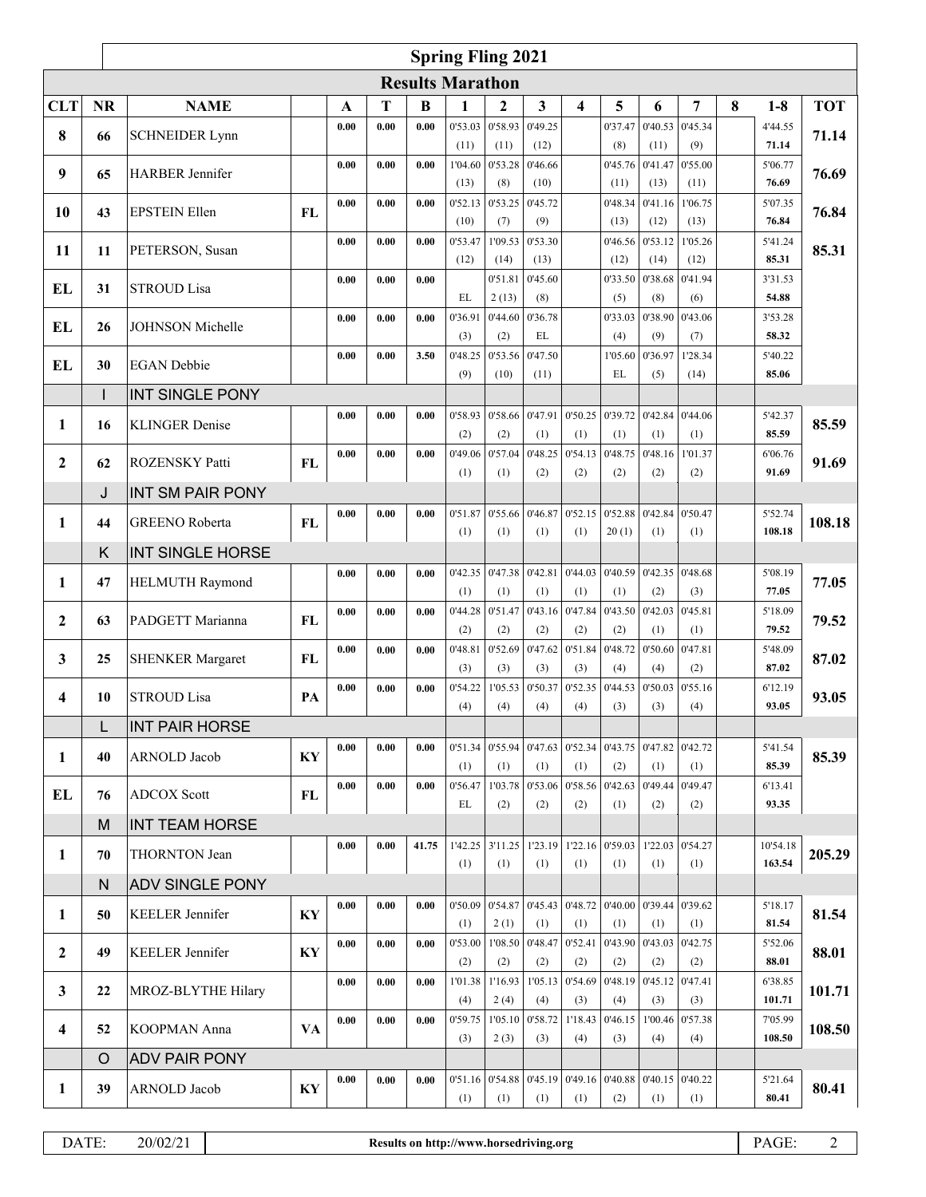|                         | <b>Spring Fling 2021</b> |                         |           |      |      |       |                         |                         |                 |                 |                   |                 |                 |   |                  |            |
|-------------------------|--------------------------|-------------------------|-----------|------|------|-------|-------------------------|-------------------------|-----------------|-----------------|-------------------|-----------------|-----------------|---|------------------|------------|
|                         |                          |                         |           |      |      |       | <b>Results Marathon</b> |                         |                 |                 |                   |                 |                 |   |                  |            |
| <b>CLT</b>              | <b>NR</b>                | <b>NAME</b>             |           | A    | Т    | B     | 1                       | $\mathbf{2}$            | 3               | 4               | 5                 | 6               | 7               | 8 | $1-8$            | <b>TOT</b> |
| 8                       | 66                       | <b>SCHNEIDER Lynn</b>   |           | 0.00 | 0.00 | 0.00  | 0'53.03                 | 0'58.93                 | 0'49.25         |                 | 0'37.47           | 0'40.53         | 0'45.34         |   | 4'44.55          | 71.14      |
|                         |                          |                         |           |      |      |       | (11)                    | (11)                    | (12)            |                 | (8)               | (11)            | (9)             |   | 71.14            |            |
| 9                       | 65                       | <b>HARBER</b> Jennifer  |           | 0.00 | 0.00 | 0.00  | 1'04.60<br>(13)         | 0'53.28<br>(8)          | 0'46.66<br>(10) |                 | 0'45.76<br>(11)   | 0'41.47<br>(13) | 0'55.00<br>(11) |   | 5'06.77<br>76.69 | 76.69      |
|                         |                          |                         |           | 0.00 | 0.00 | 0.00  | 0'52.13                 | 0'53.25                 | 0'45.72         |                 | 0'48.34           | 0'41.16         | 1'06.75         |   | 5'07.35          |            |
| 10                      | 43                       | <b>EPSTEIN Ellen</b>    | <b>FL</b> |      |      |       | (10)                    | (7)                     | (9)             |                 | (13)              | (12)            | (13)            |   | 76.84            | 76.84      |
| 11                      | 11                       | PETERSON, Susan         |           | 0.00 | 0.00 | 0.00  | 0'53.47                 | 1'09.53                 | 0'53.30         |                 | 0'46.56           | 0'53.12         | 1'05.26         |   | 5'41.24          | 85.31      |
|                         |                          |                         |           |      |      |       | (12)                    | (14)                    | (13)            |                 | (12)              | (14)            | (12)            |   | 85.31            |            |
| EL                      | 31                       | <b>STROUD Lisa</b>      |           | 0.00 | 0.00 | 0.00  | EL                      | 0'51.81<br>2(13)        | 0'45.60<br>(8)  |                 | 0'33.50<br>(5)    | 0'38.68<br>(8)  | 0'41.94<br>(6)  |   | 3'31.53<br>54.88 |            |
|                         |                          |                         |           | 0.00 | 0.00 | 0.00  | 0'36.91                 | 0'44.60                 | 0'36.78         |                 | 0'33.03           | 0'38.90         | 0'43.06         |   | 3'53.28          |            |
| EL                      | 26                       | JOHNSON Michelle        |           |      |      |       | (3)                     | (2)                     | EL              |                 | (4)               | (9)             | (7)             |   | 58.32            |            |
| EL                      | 30                       | <b>EGAN</b> Debbie      |           | 0.00 | 0.00 | 3.50  | 0'48.25                 | 0'53.56                 | 0'47.50         |                 | 1'05.60           | 0'36.97         | 1'28.34         |   | 5'40.22          |            |
|                         |                          |                         |           |      |      |       | (9)                     | (10)                    | (11)            |                 | EL                | (5)             | (14)            |   | 85.06            |            |
|                         | I                        | <b>INT SINGLE PONY</b>  |           |      |      |       |                         |                         |                 |                 |                   |                 |                 |   |                  |            |
| 1                       | 16                       | <b>KLINGER Denise</b>   |           | 0.00 | 0.00 | 0.00  | 0'58.93<br>(2)          | 0'58.66<br>(2)          | 0'47.91<br>(1)  | 0'50.25<br>(1)  | 0'39.72<br>(1)    | 0'42.84<br>(1)  | 0'44.06<br>(1)  |   | 5'42.37<br>85.59 | 85.59      |
|                         |                          |                         |           | 0.00 | 0.00 | 0.00  | 0'49.06                 | 0'57.04                 | 0'48.25         | 0'54.13         | 0'48.75           | 0'48.16         | 1'01.37         |   | 6'06.76          |            |
| $\mathbf{2}$            | 62                       | ROZENSKY Patti          | <b>FL</b> |      |      |       | (1)                     | (1)                     | (2)             | (2)             | (2)               | (2)             | (2)             |   | 91.69            | 91.69      |
|                         | J                        | <b>INT SM PAIR PONY</b> |           |      |      |       |                         |                         |                 |                 |                   |                 |                 |   |                  |            |
| 1                       | 44                       | <b>GREENO</b> Roberta   | <b>FL</b> | 0.00 | 0.00 | 0.00  | 0'51.87<br>(1)          | 0'55.66                 | 0'46.87         | 0'52.15         | 0'52.88           | 0'42.84         | 0'50.47         |   | 5'52.74          | 108.18     |
|                         | K                        |                         |           |      |      |       |                         | (1)                     | (1)             | (1)             | 20(1)             | (1)             | (1)             |   | 108.18           |            |
|                         |                          | <b>INT SINGLE HORSE</b> |           | 0.00 | 0.00 | 0.00  | 0'42.35                 | 0'47.38                 | 0'42.81         | 0'44.03         | 0'40.59           | 0'42.35         | 0'48.68         |   | 5'08.19          |            |
| 1                       | 47                       | HELMUTH Raymond         |           |      |      |       | (1)                     | (1)                     | (1)             | (1)             | (1)               | (2)             | (3)             |   | 77.05            | 77.05      |
| $\mathbf{2}$            | 63                       | PADGETT Marianna        | FL        | 0.00 | 0.00 | 0.00  | 0'44.28                 | 0'51.47                 | 0'43.16         | 0'47.84         | 0'43.50           | 0'42.03         | 0'45.81         |   | 5'18.09          | 79.52      |
|                         |                          |                         |           |      |      |       | (2)                     | (2)                     | (2)             | (2)             | (2)               | (1)             | (1)             |   | 79.52            |            |
| 3                       | 25                       | <b>SHENKER Margaret</b> | <b>FL</b> | 0.00 | 0.00 | 0.00  | 0'48.81                 | 0'52.69                 | 0'47.62         | 0'51.84         | 0'48.72           | 0'50.60         | 0'47.81         |   | 5'48.09<br>87.02 | 87.02      |
|                         |                          |                         |           | 0.00 | 0.00 | 0.00  | (3)<br>0'54.22          | (3)<br>1'05.53          | (3)<br>0'50.37  | (3)<br>0'52.35  | (4)<br>0'44.53    | (4)<br>0'50.03  | (2)<br>0'55.16  |   | 6'12.19          |            |
| 4                       | 10                       | <b>STROUD Lisa</b>      | PA        |      |      |       | (4)                     | (4)                     | (4)             | (4)             | (3)               | (3)             | (4)             |   | 93.05            | 93.05      |
|                         | L                        | <b>INT PAIR HORSE</b>   |           |      |      |       |                         |                         |                 |                 |                   |                 |                 |   |                  |            |
| 1                       | 40                       | <b>ARNOLD</b> Jacob     | KY        | 0.00 | 0.00 | 0.00  | 0'51.34                 | 0'55.94                 | 0.47.63 0.52.34 |                 | 0'43.75           | 0'47.82         | 0'42.72         |   | 5'41.54          | 85.39      |
|                         |                          |                         |           |      |      |       | (1)                     | (1)                     | (1)             | (1)             | (2)               | (1)             | (1)             |   | 85.39            |            |
| EL                      | 76                       | <b>ADCOX Scott</b>      | FL        | 0.00 | 0.00 | 0.00  | 0'56.47<br>EL           | 1'03.78<br>(2)          | 0'53.06<br>(2)  | 0'58.56<br>(2)  | 0'42.63<br>(1)    | 0'49.44<br>(2)  | 0'49.47<br>(2)  |   | 6'13.41<br>93.35 |            |
|                         | M                        | <b>INT TEAM HORSE</b>   |           |      |      |       |                         |                         |                 |                 |                   |                 |                 |   |                  |            |
|                         |                          |                         |           | 0.00 | 0.00 | 41.75 |                         | 1'42.25 3'11.25 1'23.19 |                 |                 | $1'22.16$ 0'59.03 | 1'22.03         | 0'54.27         |   | 10'54.18         |            |
| $\mathbf{1}$            | 70                       | <b>THORNTON Jean</b>    |           |      |      |       | (1)                     | (1)                     | (1)             | (1)             | (1)               | (1)             | (1)             |   | 163.54           | 205.29     |
|                         | N                        | <b>ADV SINGLE PONY</b>  |           |      |      |       |                         |                         |                 |                 |                   |                 |                 |   |                  |            |
| 1                       | 50                       | <b>KEELER</b> Jennifer  | KY        | 0.00 | 0.00 | 0.00  | 0'50.09                 | 0'54.87                 | 0'45.43         | 0.48.72 0.40.00 |                   | 0'39.44         | 0'39.62         |   | 5'18.17          | 81.54      |
|                         |                          |                         |           | 0.00 | 0.00 | 0.00  | (1)<br>0'53.00          | 2(1)<br>1'08.50         | (1)<br>0'48.47  | (1)<br>0'52.41  | (1)<br>0'43.90    | (1)<br>0'43.03  | (1)<br>0'42.75  |   | 81.54<br>5'52.06 |            |
| $\mathbf{2}$            | 49                       | KEELER Jennifer         | KY        |      |      |       | (2)                     | (2)                     | (2)             | (2)             | (2)               | (2)             | (2)             |   | 88.01            | 88.01      |
|                         |                          |                         |           | 0.00 | 0.00 | 0.00  | 1'01.38                 | 1'16.93                 | 1'05.13         | 0'54.69         | 0'48.19           | 0'45.12         | 0'47.41         |   | 6'38.85          |            |
| $\mathbf{3}$            | 22                       | MROZ-BLYTHE Hilary      |           |      |      |       | (4)                     | 2(4)                    | (4)             | (3)             | (4)               | (3)             | (3)             |   | 101.71           | 101.71     |
| $\overline{\mathbf{4}}$ | 52                       | <b>KOOPMAN</b> Anna     | VA        | 0.00 | 0.00 | 0.00  | 0'59.75                 | 1'05.10                 | 0'58.72         |                 | $1'18.43$ 0'46.15 | 1'00.46         | 0'57.38         |   | 7'05.99          | 108.50     |
|                         |                          |                         |           |      |      |       | (3)                     | 2(3)                    | (3)             | (4)             | (3)               | (4)             | (4)             |   | 108.50           |            |
|                         | O                        | <b>ADV PAIR PONY</b>    |           | 0.00 | 0.00 | 0.00  | 0'51.16                 | 0'54.88                 | 0'45.19         | 0'49.16         | 0'40.88           | 0'40.15         | 0'40.22         |   | 5'21.64          |            |
| 1                       | 39                       | ARNOLD Jacob            | KY        |      |      |       | (1)                     | (1)                     | (1)             | (1)             | (2)               | (1)             | (1)             |   | 80.41            | 80.41      |
|                         |                          |                         |           |      |      |       |                         |                         |                 |                 |                   |                 |                 |   |                  |            |

DATE: 20/02/21 **Results on http://www.horsedriving.org** PAGE: 2